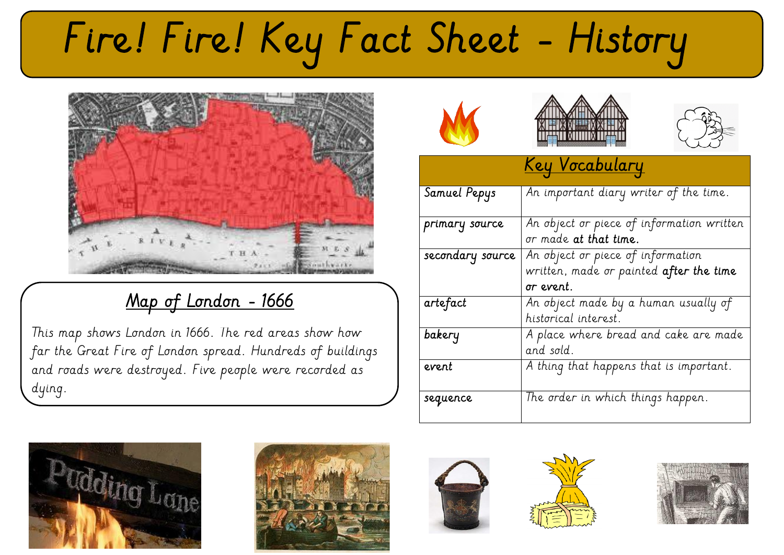# Fire! Fire! Key Fact Sheet - History



#### Map of London - 1666

This map shows London in 1666. The red areas show how far the Great Fire of London spread. Hundreds of buildings and roads were destroyed. Five people were recorded as dying.











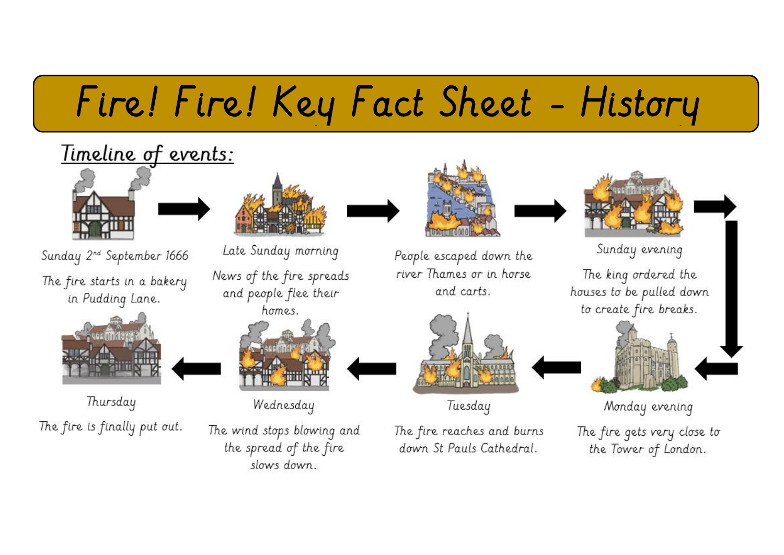# Fire! Fire! Key Fact Sheet - History

### Timeline of events:



Sunday 2<sup>nd</sup> September 1666 The fire starts in a bakery in Pudding Lane.



Thursday The fire is finally put out.



Late Sunday morning News of the fire spreads and people flee their homes.



Wednesday

The wind stops blowing and the spread of the fire slows down



People escaped down the river Thames or in horse and carts.



Tuesday

The fire reaches and burns down St Pauls Cathedral.



Sunday evening

The king ordered the houses to be pulled down to create fire breaks.



Monday evening

The fire gets very close to the Tower of London.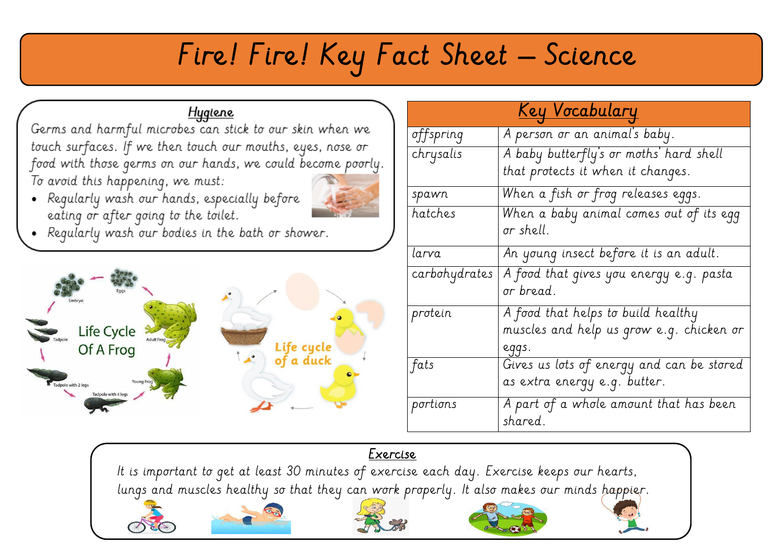### Fire! Fire! Key Fact Sheet – Science

#### Hygiene

Germs and harmful microbes can stick to our skin when we touch surfaces. If we then touch our mouths, eyes, nose or food with those germs on our hands, we could become poorly. To avoid this happening, we must:

• Regularly wash our hands, especially before eating or after going to the toilet.



• Regularly wash our bodies in the bath or shower.



| <u>Key Vocabulary</u> |                                                   |
|-----------------------|---------------------------------------------------|
| offspring             | A person or an animal's baby.                     |
| chrysalis             | A baby butterfly's or moths' hard shell           |
|                       | that protects it when it changes.                 |
| spawn                 | When a fish or frog releases eggs.                |
| hatches               | When a baby animal comes out of its egg           |
|                       | or shell.                                         |
| larva                 | An young insect before it is an adult.            |
| carbohydrates         | A food that gives you energy e.g. pasta           |
|                       | or bread.                                         |
| protein               | A food that helps to build healthy                |
|                       | muscles and help us grow e.g. chicken or          |
|                       | eggs.                                             |
| fats                  | Gives us lots of energy and can be stored         |
|                       | as extra energy e.g. butter.                      |
| portions              | A part of a whole amount that has been<br>shared. |
|                       |                                                   |

#### Exercise

It is important to get at least 30 minutes of exercise each day. Exercise keeps our hearts, lungs and muscles healthy so that they can work properly. It also makes our minds happier.







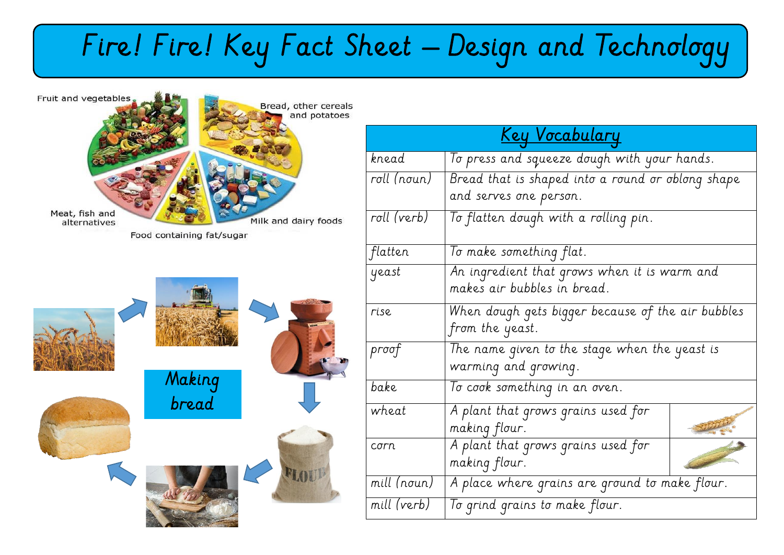## Fire! Fire! Key Fact Sheet – Design and Technology



| <u>Key Vocabulary</u> |                                                       |  |  |  |
|-----------------------|-------------------------------------------------------|--|--|--|
| knead                 | To press and squeeze dough with your hands.           |  |  |  |
| roll (noun)           | Bread that is shaped into a round or oblong shape     |  |  |  |
|                       | and serves one person.                                |  |  |  |
| roll (verb)           | To flatten dough with a rolling pin.                  |  |  |  |
| flatten               | To make something flat.                               |  |  |  |
| yeast                 | An ingredient that grows when it is warm and          |  |  |  |
|                       | makes air bubbles in bread.                           |  |  |  |
| rise                  | When dough gets bigger because of the air bubbles     |  |  |  |
|                       | from the yeast.                                       |  |  |  |
| proof                 | The name given to the stage when the yeast is         |  |  |  |
|                       | warming and growing.                                  |  |  |  |
| bake                  | To cook something in an oven.                         |  |  |  |
| wheat                 | A plant that grows grains used for                    |  |  |  |
|                       | making flour.                                         |  |  |  |
| corrn                 | A plant that grows grains used for                    |  |  |  |
|                       | making flour.                                         |  |  |  |
| mill (noun)           | $\mid$ A place where grains are ground to make flour. |  |  |  |
| mill (verb)           | To grind grains to make flour.                        |  |  |  |